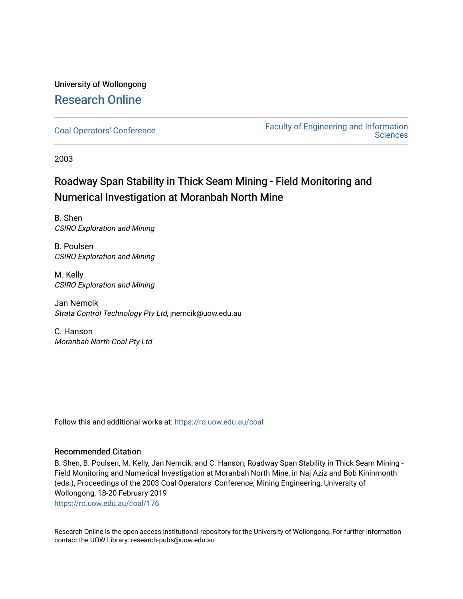# University of Wollongong [Research Online](https://ro.uow.edu.au/)

[Coal Operators' Conference](https://ro.uow.edu.au/coal) [Faculty of Engineering and Information](https://ro.uow.edu.au/eis)  **Sciences** 

2003

# Roadway Span Stability in Thick Seam Mining - Field Monitoring and Numerical Investigation at Moranbah North Mine

B. Shen CSIRO Exploration and Mining

B. Poulsen CSIRO Exploration and Mining

M. Kelly CSIRO Exploration and Mining

Jan Nemcik Strata Control Technology Pty Ltd, jnemcik@uow.edu.au

C. Hanson Moranbah North Coal Pty Ltd

Follow this and additional works at: [https://ro.uow.edu.au/coal](https://ro.uow.edu.au/coal?utm_source=ro.uow.edu.au%2Fcoal%2F176&utm_medium=PDF&utm_campaign=PDFCoverPages) 

# Recommended Citation

B. Shen, B. Poulsen, M. Kelly, Jan Nemcik, and C. Hanson, Roadway Span Stability in Thick Seam Mining - Field Monitoring and Numerical Investigation at Moranbah North Mine, in Naj Aziz and Bob Kininmonth (eds.), Proceedings of the 2003 Coal Operators' Conference, Mining Engineering, University of Wollongong, 18-20 February 2019 [https://ro.uow.edu.au/coal/176](https://ro.uow.edu.au/coal/176?utm_source=ro.uow.edu.au%2Fcoal%2F176&utm_medium=PDF&utm_campaign=PDFCoverPages) 

Research Online is the open access institutional repository for the University of Wollongong. For further information contact the UOW Library: research-pubs@uow.edu.au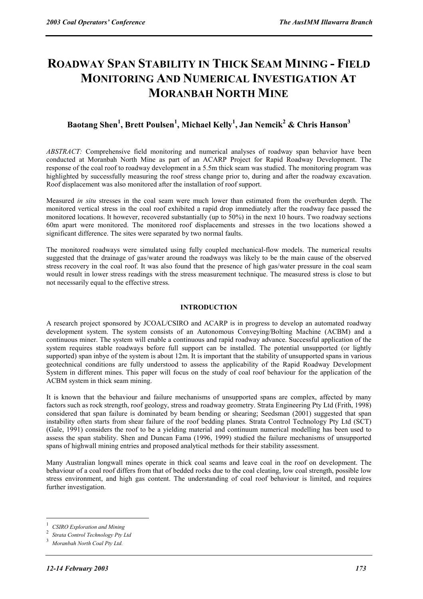# **ROADWAY SPAN STABILITY IN THICK SEAM MINING - FIELD MONITORING AND NUMERICAL INVESTIGATION AT MORANBAH NORTH MINE**

# $\mathbf{B}$ aotang Shen $^1$ , Brett Poulsen $^1$ , Michael Kelly $^1$ , Jan Nemcik $^2$  & Chris Hanson $^3$

*ABSTRACT:* Comprehensive field monitoring and numerical analyses of roadway span behavior have been conducted at Moranbah North Mine as part of an ACARP Project for Rapid Roadway Development. The response of the coal roof to roadway development in a 5.5m thick seam was studied. The monitoring program was highlighted by successfully measuring the roof stress change prior to, during and after the roadway excavation. Roof displacement was also monitored after the installation of roof support.

Measured *in situ* stresses in the coal seam were much lower than estimated from the overburden depth. The monitored vertical stress in the coal roof exhibited a rapid drop immediately after the roadway face passed the monitored locations. It however, recovered substantially (up to 50%) in the next 10 hours. Two roadway sections 60m apart were monitored. The monitored roof displacements and stresses in the two locations showed a significant difference. The sites were separated by two normal faults.

The monitored roadways were simulated using fully coupled mechanical-flow models. The numerical results suggested that the drainage of gas/water around the roadways was likely to be the main cause of the observed stress recovery in the coal roof. It was also found that the presence of high gas/water pressure in the coal seam would result in lower stress readings with the stress measurement technique. The measured stress is close to but not necessarily equal to the effective stress.

# **INTRODUCTION**

A research project sponsored by JCOAL/CSIRO and ACARP is in progress to develop an automated roadway development system. The system consists of an Autonomous Conveying/Bolting Machine (ACBM) and a continuous miner. The system will enable a continuous and rapid roadway advance. Successful application of the system requires stable roadways before full support can be installed. The potential unsupported (or lightly supported) span inbye of the system is about 12m. It is important that the stability of unsupported spans in various geotechnical conditions are fully understood to assess the applicability of the Rapid Roadway Development System in different mines. This paper will focus on the study of coal roof behaviour for the application of the ACBM system in thick seam mining.

It is known that the behaviour and failure mechanisms of unsupported spans are complex, affected by many factors such as rock strength, roof geology, stress and roadway geometry. Strata Engineering Pty Ltd (Frith, 1998) considered that span failure is dominated by beam bending or shearing; Seedsman (2001) suggested that span instability often starts from shear failure of the roof bedding planes. Strata Control Technology Pty Ltd (SCT) (Gale, 1991) considers the roof to be a yielding material and continuum numerical modelling has been used to assess the span stability. Shen and Duncan Fama (1996, 1999) studied the failure mechanisms of unsupported spans of highwall mining entries and proposed analytical methods for their stability assessment.

Many Australian longwall mines operate in thick coal seams and leave coal in the roof on development. The behaviour of a coal roof differs from that of bedded rocks due to the coal cleating, low coal strength, possible low stress environment, and high gas content. The understanding of coal roof behaviour is limited, and requires further investigation.

 $\overline{a}$ 

<sup>1</sup> *CSIRO Exploration and Mining* <sup>2</sup>

**Strata Control Technology Pty Ltd** 

*Moranbah North Coal Pty Ltd.*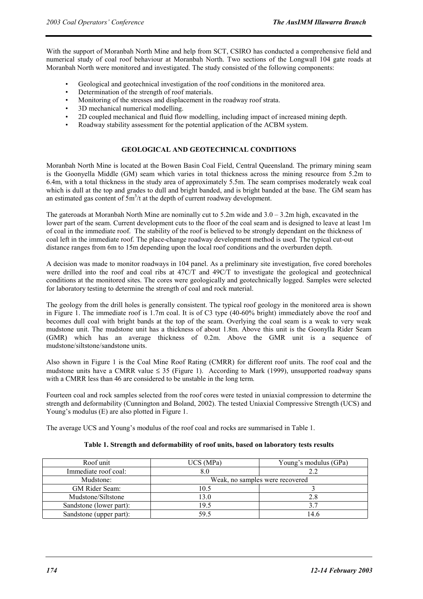With the support of Moranbah North Mine and help from SCT, CSIRO has conducted a comprehensive field and numerical study of coal roof behaviour at Moranbah North. Two sections of the Longwall 104 gate roads at Moranbah North were monitored and investigated. The study consisted of the following components:

- Geological and geotechnical investigation of the roof conditions in the monitored area.
- Determination of the strength of roof materials.
- Monitoring of the stresses and displacement in the roadway roof strata.
- 3D mechanical numerical modelling.
- 2D coupled mechanical and fluid flow modelling, including impact of increased mining depth.
- Roadway stability assessment for the potential application of the ACBM system.

# **GEOLOGICAL AND GEOTECHNICAL CONDITIONS**

Moranbah North Mine is located at the Bowen Basin Coal Field, Central Queensland. The primary mining seam is the Goonyella Middle (GM) seam which varies in total thickness across the mining resource from 5.2m to 6.4m, with a total thickness in the study area of approximately 5.5m. The seam comprises moderately weak coal which is dull at the top and grades to dull and bright banded, and is bright banded at the base. The GM seam has an estimated gas content of  $5m^3/t$  at the depth of current roadway development.

The gateroads at Moranbah North Mine are nominally cut to  $5.2m$  wide and  $3.0 - 3.2m$  high, excavated in the lower part of the seam. Current development cuts to the floor of the coal seam and is designed to leave at least 1m of coal in the immediate roof. The stability of the roof is believed to be strongly dependant on the thickness of coal left in the immediate roof. The place-change roadway development method is used. The typical cut-out distance ranges from 6m to 15m depending upon the local roof conditions and the overburden depth.

A decision was made to monitor roadways in 104 panel. As a preliminary site investigation, five cored boreholes were drilled into the roof and coal ribs at 47C/T and 49C/T to investigate the geological and geotechnical conditions at the monitored sites. The cores were geologically and geotechnically logged. Samples were selected for laboratory testing to determine the strength of coal and rock material.

The geology from the drill holes is generally consistent. The typical roof geology in the monitored area is shown in Figure 1. The immediate roof is 1.7m coal. It is of C3 type (40-60% bright) immediately above the roof and becomes dull coal with bright bands at the top of the seam. Overlying the coal seam is a weak to very weak mudstone unit. The mudstone unit has a thickness of about 1.8m. Above this unit is the Goonylla Rider Seam (GMR) which has an average thickness of 0.2m. Above the GMR unit is a sequence of mudstone/siltstone/sandstone units.

Also shown in Figure 1 is the Coal Mine Roof Rating (CMRR) for different roof units. The roof coal and the mudstone units have a CMRR value  $\leq$  35 (Figure 1). According to Mark (1999), unsupported roadway spans with a CMRR less than 46 are considered to be unstable in the long term.

Fourteen coal and rock samples selected from the roof cores were tested in uniaxial compression to determine the strength and deformability (Cunnington and Boland, 2002). The tested Uniaxial Compressive Strength (UCS) and Young's modulus (E) are also plotted in Figure 1.

The average UCS and Young's modulus of the roof coal and rocks are summarised in Table 1.

| Roof unit               | UCS (MPa)                       | Young's modulus (GPa) |  |  |  |
|-------------------------|---------------------------------|-----------------------|--|--|--|
| Immediate roof coal:    |                                 |                       |  |  |  |
| Mudstone:               | Weak, no samples were recovered |                       |  |  |  |
| GM Rider Seam:          | 10.5                            |                       |  |  |  |
| Mudstone/Siltstone      | 13.0                            | 2.8                   |  |  |  |
| Sandstone (lower part): | 19.5                            |                       |  |  |  |
| Sandstone (upper part): | 59.5                            | 14.6                  |  |  |  |

## **Table 1. Strength and deformability of roof units, based on laboratory tests results**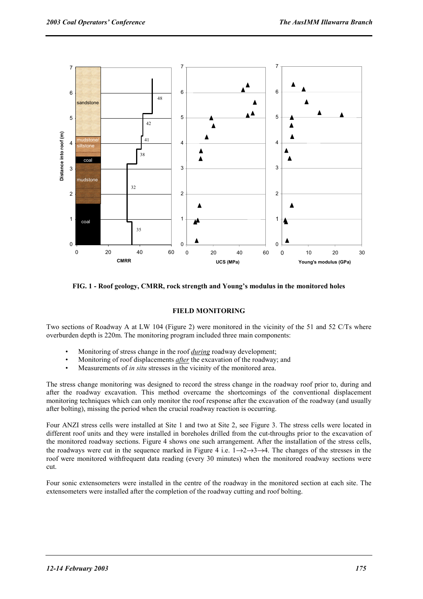

**FIG. 1 - Roof geology, CMRR, rock strength and Young's modulus in the monitored holes** 

# **FIELD MONITORING**

Two sections of Roadway A at LW 104 (Figure 2) were monitored in the vicinity of the 51 and 52 C/Ts where overburden depth is 220m. The monitoring program included three main components:

- Monitoring of stress change in the roof *during* roadway development;
- Monitoring of roof displacements *after* the excavation of the roadway; and
- Measurements of *in situ* stresses in the vicinity of the monitored area.

The stress change monitoring was designed to record the stress change in the roadway roof prior to, during and after the roadway excavation. This method overcame the shortcomings of the conventional displacement monitoring techniques which can only monitor the roof response after the excavation of the roadway (and usually after bolting), missing the period when the crucial roadway reaction is occurring.

Four ANZI stress cells were installed at Site 1 and two at Site 2, see Figure 3. The stress cells were located in different roof units and they were installed in boreholes drilled from the cut-throughs prior to the excavation of the monitored roadway sections. Figure 4 shows one such arrangement. After the installation of the stress cells, the roadways were cut in the sequence marked in Figure 4 i.e.  $1\rightarrow 2\rightarrow 3\rightarrow 4$ . The changes of the stresses in the roof were monitored withfrequent data reading (every 30 minutes) when the monitored roadway sections were cut.

Four sonic extensometers were installed in the centre of the roadway in the monitored section at each site. The extensometers were installed after the completion of the roadway cutting and roof bolting.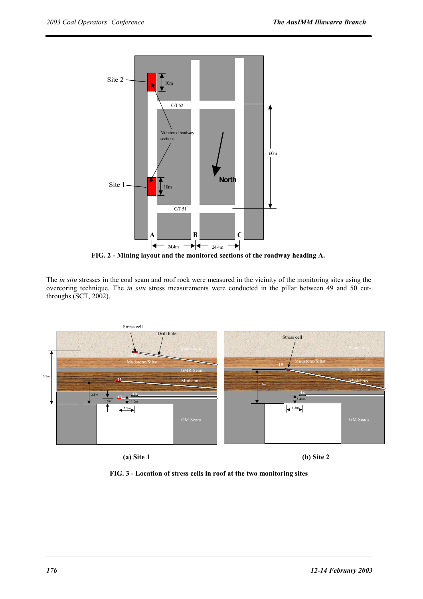

**FIG. 2 - Mining layout and the monitored sections of the roadway heading A.** 

The *in situ* stresses in the coal seam and roof rock were measured in the vicinity of the monitoring sites using the overcoring technique. The *in situ* stress measurements were conducted in the pillar between 49 and 50 cutthroughs (SCT, 2002).



 **(a) Site 1 (b) Site 2** 

**FIG. 3 - Location of stress cells in roof at the two monitoring sites**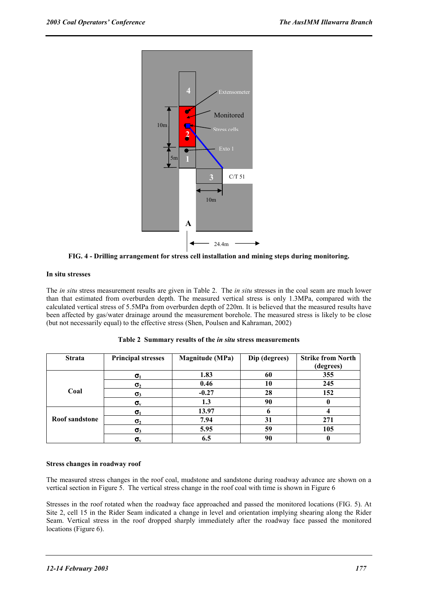

**FIG. 4 - Drilling arrangement for stress cell installation and mining steps during monitoring.** 

## **In situ stresses**

The *in situ* stress measurement results are given in Table 2. The *in situ* stresses in the coal seam are much lower than that estimated from overburden depth. The measured vertical stress is only 1.3MPa, compared with the calculated vertical stress of 5.5MPa from overburden depth of 220m. It is believed that the measured results have been affected by gas/water drainage around the measurement borehole. The measured stress is likely to be close (but not necessarily equal) to the effective stress (Shen, Poulsen and Kahraman, 2002)

| <b>Strata</b>  | <b>Principal stresses</b> | <b>Magnitude</b> (MPa) | Dip (degrees) | <b>Strike from North</b> |
|----------------|---------------------------|------------------------|---------------|--------------------------|
|                |                           |                        |               | (degrees)                |
|                | $\sigma_1$                | 1.83                   | 60            | 355                      |
| Coal           | $\sigma_{2}$              | 0.46                   | 10            | 245                      |
|                | $\sigma_3$                | $-0.27$                | 28            | 152                      |
|                | $\sigma_{\rm v}$          | 1.3                    | 90            |                          |
|                | $\sigma_1$                | 13.97                  |               |                          |
| Roof sandstone | $\sigma_{2}$              | 7.94                   | 31            | 271                      |
|                | $\sigma_3$                | 5.95                   | 59            | 105                      |
|                | $\sigma_{\rm v}$          | 6.5                    | 90            |                          |

|  |  |  |  |  |  |  |  | Table 2 Summary results of the <i>in situ</i> stress measurements |
|--|--|--|--|--|--|--|--|-------------------------------------------------------------------|
|--|--|--|--|--|--|--|--|-------------------------------------------------------------------|

# **Stress changes in roadway roof**

The measured stress changes in the roof coal, mudstone and sandstone during roadway advance are shown on a vertical section in Figure 5. The vertical stress change in the roof coal with time is shown in Figure 6

Stresses in the roof rotated when the roadway face approached and passed the monitored locations (FIG. 5). At Site 2, cell 15 in the Rider Seam indicated a change in level and orientation implying shearing along the Rider Seam. Vertical stress in the roof dropped sharply immediately after the roadway face passed the monitored locations (Figure 6).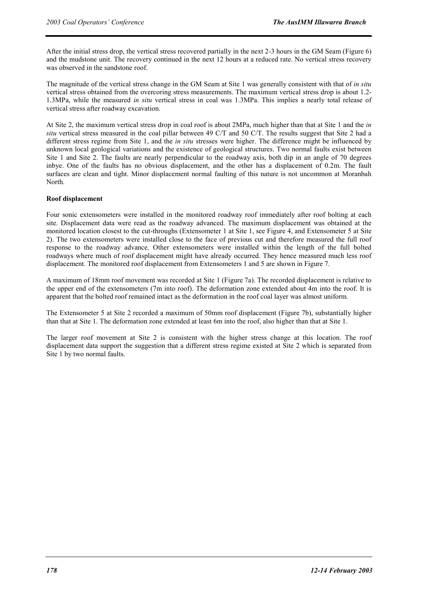After the initial stress drop, the vertical stress recovered partially in the next 2-3 hours in the GM Seam (Figure 6) and the mudstone unit. The recovery continued in the next 12 hours at a reduced rate. No vertical stress recovery was observed in the sandstone roof.

The magnitude of the vertical stress change in the GM Seam at Site 1 was generally consistent with that of *in situ* vertical stress obtained from the overcoring stress measurements. The maximum vertical stress drop is about 1.2- 1.3MPa, while the measured *in situ* vertical stress in coal was 1.3MPa. This implies a nearly total release of vertical stress after roadway excavation.

At Site 2, the maximum vertical stress drop in coal roof is about 2MPa, much higher than that at Site 1 and the *in situ* vertical stress measured in the coal pillar between 49 C/T and 50 C/T. The results suggest that Site 2 had a different stress regime from Site 1, and the *in situ* stresses were higher. The difference might be influenced by unknown local geological variations and the existence of geological structures. Two normal faults exist between Site 1 and Site 2. The faults are nearly perpendicular to the roadway axis, both dip in an angle of 70 degrees inbye. One of the faults has no obvious displacement, and the other has a displacement of 0.2m. The fault surfaces are clean and tight. Minor displacement normal faulting of this nature is not uncommon at Moranbah North.

# **Roof displacement**

Four sonic extensometers were installed in the monitored roadway roof immediately after roof bolting at each site. Displacement data were read as the roadway advanced. The maximum displacement was obtained at the monitored location closest to the cut-throughs (Extensometer 1 at Site 1, see Figure 4, and Extensometer 5 at Site 2). The two extensometers were installed close to the face of previous cut and therefore measured the full roof response to the roadway advance. Other extensometers were installed within the length of the full bolted roadways where much of roof displacement might have already occurred. They hence measured much less roof displacement. The monitored roof displacement from Extensometers 1 and 5 are shown in Figure 7.

A maximum of 18mm roof movement was recorded at Site 1 (Figure 7a). The recorded displacement is relative to the upper end of the extensometers (7m into roof). The deformation zone extended about 4m into the roof. It is apparent that the bolted roof remained intact as the deformation in the roof coal layer was almost uniform.

The Extensometer 5 at Site 2 recorded a maximum of 50mm roof displacement (Figure 7b), substantially higher than that at Site 1. The deformation zone extended at least 6m into the roof, also higher than that at Site 1.

The larger roof movement at Site 2 is consistent with the higher stress change at this location. The roof displacement data support the suggestion that a different stress regime existed at Site 2 which is separated from Site 1 by two normal faults.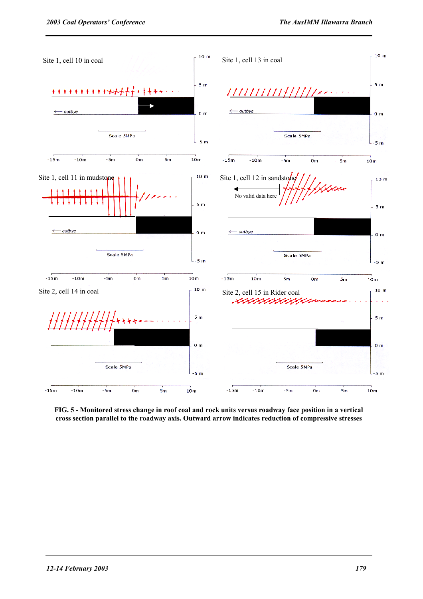

**FIG. 5 - Monitored stress change in roof coal and rock units versus roadway face position in a vertical cross section parallel to the roadway axis. Outward arrow indicates reduction of compressive stresses**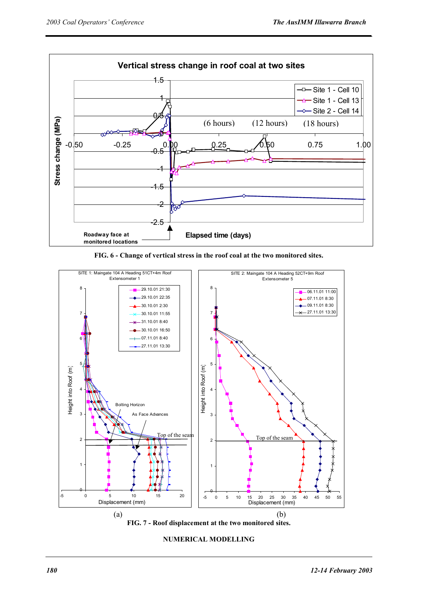

**FIG. 6 - Change of vertical stress in the roof coal at the two monitored sites.** 



**NUMERICAL MODELLING**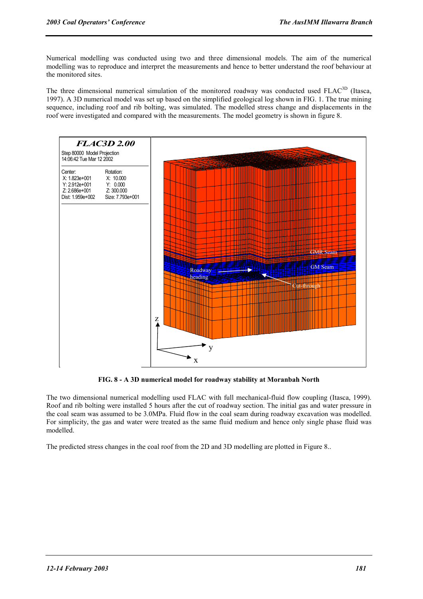Numerical modelling was conducted using two and three dimensional models. The aim of the numerical modelling was to reproduce and interpret the measurements and hence to better understand the roof behaviour at the monitored sites.

The three dimensional numerical simulation of the monitored roadway was conducted used FLAC<sup>3D</sup> (Itasca, 1997). A 3D numerical model was set up based on the simplified geological log shown in FIG. 1. The true mining sequence, including roof and rib bolting, was simulated. The modelled stress change and displacements in the roof were investigated and compared with the measurements. The model geometry is shown in figure 8.



**FIG. 8 - A 3D numerical model for roadway stability at Moranbah North** 

The two dimensional numerical modelling used FLAC with full mechanical-fluid flow coupling (Itasca, 1999). Roof and rib bolting were installed 5 hours after the cut of roadway section. The initial gas and water pressure in the coal seam was assumed to be 3.0MPa. Fluid flow in the coal seam during roadway excavation was modelled. For simplicity, the gas and water were treated as the same fluid medium and hence only single phase fluid was modelled.

The predicted stress changes in the coal roof from the 2D and 3D modelling are plotted in Figure 8..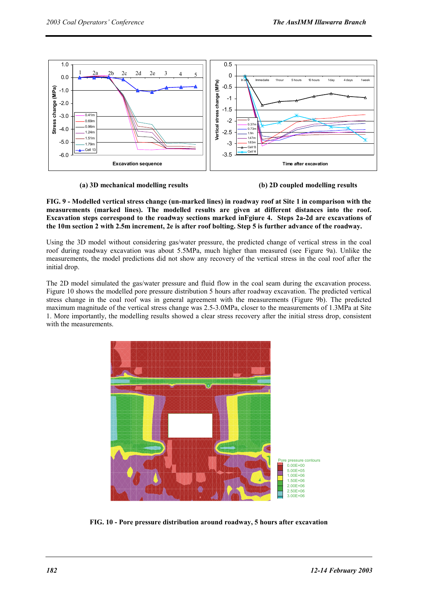

 **(a) 3D mechanical modelling results (b) 2D coupled modelling results** 

**FIG. 9 - Modelled vertical stress change (un-marked lines) in roadway roof at Site 1 in comparison with the measurements (marked lines). The modelled results are given at different distances into the roof. Excavation steps correspond to the roadway sections marked inFgiure 4. Steps 2a-2d are excavations of the 10m section 2 with 2.5m increment, 2e is after roof bolting. Step 5 is further advance of the roadway.** 

Using the 3D model without considering gas/water pressure, the predicted change of vertical stress in the coal roof during roadway excavation was about 5.5MPa, much higher than measured (see Figure 9a). Unlike the measurements, the model predictions did not show any recovery of the vertical stress in the coal roof after the initial drop.

The 2D model simulated the gas/water pressure and fluid flow in the coal seam during the excavation process. Figure 10 shows the modelled pore pressure distribution 5 hours after roadway excavation. The predicted vertical stress change in the coal roof was in general agreement with the measurements (Figure 9b). The predicted maximum magnitude of the vertical stress change was 2.5-3.0MPa, closer to the measurements of 1.3MPa at Site 1. More importantly, the modelling results showed a clear stress recovery after the initial stress drop, consistent with the measurements.



**FIG. 10 - Pore pressure distribution around roadway, 5 hours after excavation**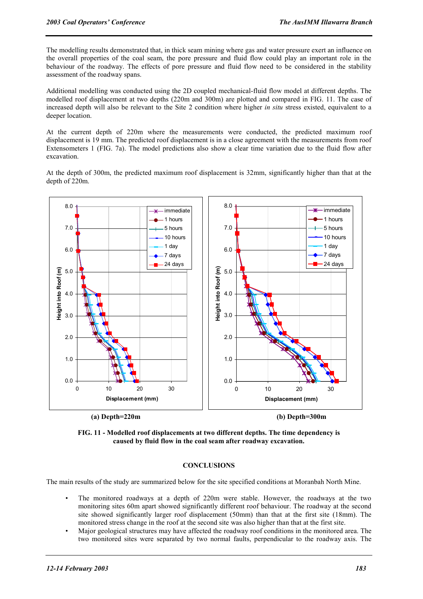The modelling results demonstrated that, in thick seam mining where gas and water pressure exert an influence on the overall properties of the coal seam, the pore pressure and fluid flow could play an important role in the behaviour of the roadway. The effects of pore pressure and fluid flow need to be considered in the stability assessment of the roadway spans.

Additional modelling was conducted using the 2D coupled mechanical-fluid flow model at different depths. The modelled roof displacement at two depths (220m and 300m) are plotted and compared in FIG. 11. The case of increased depth will also be relevant to the Site 2 condition where higher *in situ* stress existed, equivalent to a deeper location.

At the current depth of 220m where the measurements were conducted, the predicted maximum roof displacement is 19 mm. The predicted roof displacement is in a close agreement with the measurements from roof Extensometers 1 (FIG. 7a). The model predictions also show a clear time variation due to the fluid flow after excavation.

At the depth of 300m, the predicted maximum roof displacement is 32mm, significantly higher than that at the depth of 220m.



 **(a) Depth=220m (b) Depth=300m** 

**FIG. 11 - Modelled roof displacements at two different depths. The time dependency is caused by fluid flow in the coal seam after roadway excavation.** 

## **CONCLUSIONS**

The main results of the study are summarized below for the site specified conditions at Moranbah North Mine.

- The monitored roadways at a depth of 220m were stable. However, the roadways at the two monitoring sites 60m apart showed significantly different roof behaviour. The roadway at the second site showed significantly larger roof displacement (50mm) than that at the first site (18mm). The monitored stress change in the roof at the second site was also higher than that at the first site.
- Major geological structures may have affected the roadway roof conditions in the monitored area. The two monitored sites were separated by two normal faults, perpendicular to the roadway axis. The